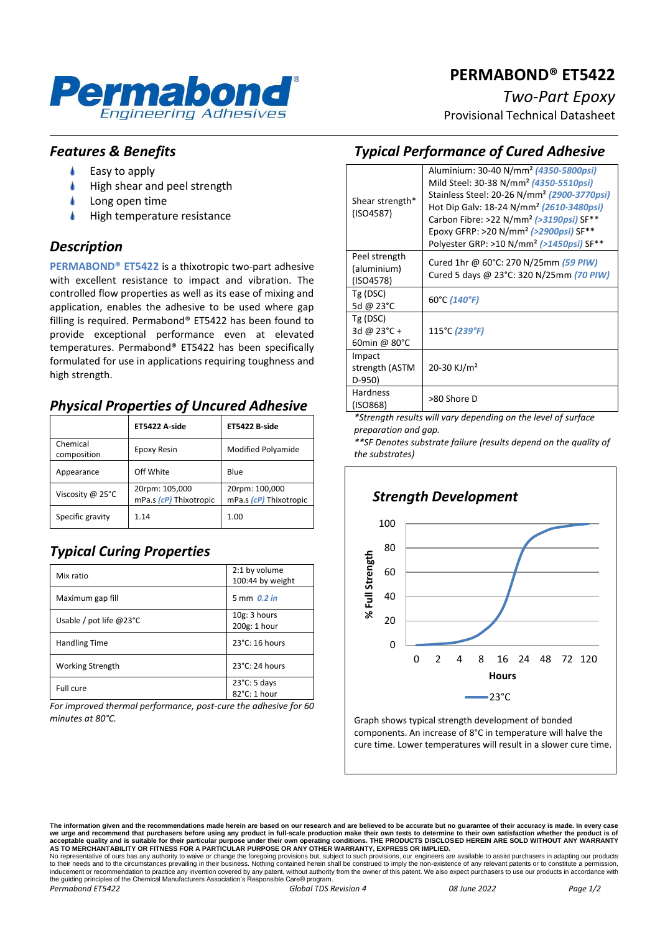

## **PERMABOND® ET5422**

*Two-Part Epoxy*

Provisional Technical Datasheet

#### *Features & Benefits*

- ۸ Easy to apply
- High shear and peel strength
- Long open time
- High temperature resistance

#### *Description*

**PERMABOND® ET5422** is a thixotropic two-part adhesive with excellent resistance to impact and vibration. The controlled flow properties as well as its ease of mixing and application, enables the adhesive to be used where gap filling is required. Permabond® ET5422 has been found to provide exceptional performance even at elevated temperatures. Permabond® ET5422 has been specifically formulated for use in applications requiring toughness and high strength.

#### *Physical Properties of Uncured Adhesive*

|                         | ET5422 A-side                            | <b>ET5422 B-side</b>                     |
|-------------------------|------------------------------------------|------------------------------------------|
| Chemical<br>composition | Epoxy Resin                              | Modified Polyamide                       |
| Appearance              | Off White                                | Blue                                     |
| Viscosity @ 25°C        | 20rpm: 105,000<br>mPa.s (cP) Thixotropic | 20rpm: 100,000<br>mPa.s (cP) Thixotropic |
| Specific gravity        | 1.14                                     | 1.00                                     |

# *Typical Curing Properties*

| Mix ratio                          | 2:1 by volume<br>100:44 by weight      |
|------------------------------------|----------------------------------------|
| Maximum gap fill                   | 5 mm 0.2 in                            |
| Usable / pot life @23 $^{\circ}$ C | 10g: 3 hours<br>200g: 1 hour           |
| <b>Handling Time</b>               | $23^{\circ}$ C: 16 hours               |
| <b>Working Strength</b>            | $23^{\circ}$ C: 24 hours               |
| Full cure                          | $23^{\circ}$ C: 5 days<br>82°C: 1 hour |

*For improved thermal performance, post-cure the adhesive for 60 minutes at 80°C.*

#### *Typical Performance of Cured Adhesive*

| Shear strength*<br>(ISO4587)                      | Aluminium: 30-40 N/mm <sup>2</sup> (4350-5800psi)<br>Mild Steel: 30-38 N/mm <sup>2</sup> (4350-5510psi)<br>Stainless Steel: 20-26 N/mm <sup>2</sup> (2900-3770psi)<br>Hot Dip Galy: 18-24 N/mm <sup>2</sup> (2610-3480psi)<br>Carbon Fibre: >22 N/mm <sup>2</sup> (>3190psi) SF**<br>Epoxy GFRP: >20 N/mm <sup>2</sup> (>2900psi) SF**<br>Polyester GRP: >10 N/mm <sup>2</sup> (>1450psi) SF <sup>**</sup> |
|---------------------------------------------------|------------------------------------------------------------------------------------------------------------------------------------------------------------------------------------------------------------------------------------------------------------------------------------------------------------------------------------------------------------------------------------------------------------|
| Peel strength<br>(aluminium)<br>(ISO4578)         | Cured 1hr @ 60°C: 270 N/25mm (59 PIW)<br>Cured 5 days @ 23°C: 320 N/25mm (70 PIW)                                                                                                                                                                                                                                                                                                                          |
| Tg (DSC)<br>5d @ 23°C                             | 60°C (140°F)                                                                                                                                                                                                                                                                                                                                                                                               |
| Tg (DSC)<br>3d @ $23^{\circ}$ C +<br>60min @ 80°C | 115°C (239°F)                                                                                                                                                                                                                                                                                                                                                                                              |
| Impact<br>strength (ASTM<br>D-950)                | 20-30 KJ/m <sup>2</sup>                                                                                                                                                                                                                                                                                                                                                                                    |
| <b>Hardness</b><br>(ISO868)                       | >80 Shore D                                                                                                                                                                                                                                                                                                                                                                                                |

*\*Strength results will vary depending on the level of surface preparation and gap.*

*\*\*SF Denotes substrate failure (results depend on the quality of the substrates)*



Graph shows typical strength development of bonded components. An increase of 8°C in temperature will halve the cure time. Lower temperatures will result in a slower cure time.

The information given and the recommendations made herein are based on our research and are believed to be accurate but no guarantee of their accuracy is made. In every case<br>we urge and recommend that purchasers before usi No representative of ours has any authority to waive or change the foregoing provisions but, subject to such provisions, our engineers are available to assist purchasers in adapting our products<br>to their needs and to the c the guiding principles of the Chemical Manufacturers Association's Responsible Care® program.